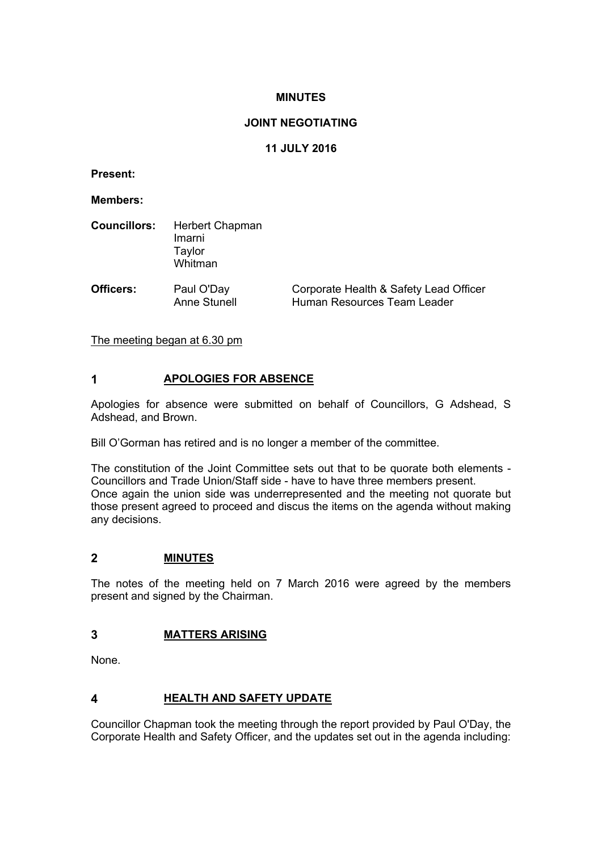## **MINUTES**

## **JOINT NEGOTIATING**

# **11 JULY 2016**

**Present:**

**Members:**

| <b>Councillors:</b> | Herbert Chapman<br>Imarni<br>Taylor<br>Whitman |                                                                       |
|---------------------|------------------------------------------------|-----------------------------------------------------------------------|
| Officers:           | Paul O'Day<br><b>Anne Stunell</b>              | Corporate Health & Safety Lead Officer<br>Human Resources Team Leader |

The meeting began at 6.30 pm

## **1 APOLOGIES FOR ABSENCE**

Apologies for absence were submitted on behalf of Councillors, G Adshead, S Adshead, and Brown.

Bill O'Gorman has retired and is no longer a member of the committee.

The constitution of the Joint Committee sets out that to be quorate both elements - Councillors and Trade Union/Staff side - have to have three members present. Once again the union side was underrepresented and the meeting not quorate but those present agreed to proceed and discus the items on the agenda without making any decisions.

## **2 MINUTES**

The notes of the meeting held on 7 March 2016 were agreed by the members present and signed by the Chairman.

# **3 MATTERS ARISING**

None.

# **4 HEALTH AND SAFETY UPDATE**

Councillor Chapman took the meeting through the report provided by Paul O'Day, the Corporate Health and Safety Officer, and the updates set out in the agenda including: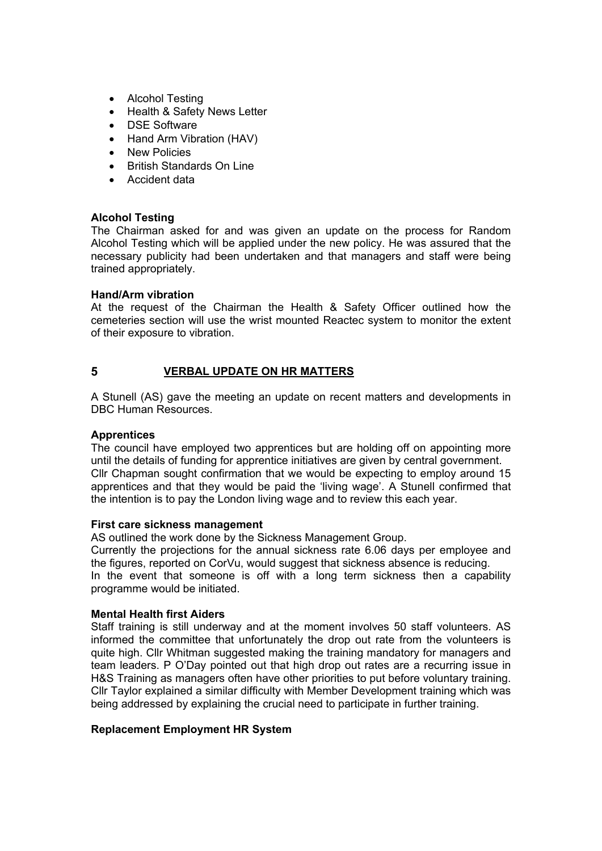- Alcohol Testing
- Health & Safety News Letter
- DSE Software
- Hand Arm Vibration (HAV)
- New Policies
- British Standards On Line
- Accident data

### **Alcohol Testing**

The Chairman asked for and was given an update on the process for Random Alcohol Testing which will be applied under the new policy. He was assured that the necessary publicity had been undertaken and that managers and staff were being trained appropriately.

### **Hand/Arm vibration**

At the request of the Chairman the Health & Safety Officer outlined how the cemeteries section will use the wrist mounted Reactec system to monitor the extent of their exposure to vibration.

# **5 VERBAL UPDATE ON HR MATTERS**

A Stunell (AS) gave the meeting an update on recent matters and developments in DBC Human Resources.

## **Apprentices**

The council have employed two apprentices but are holding off on appointing more until the details of funding for apprentice initiatives are given by central government. Cllr Chapman sought confirmation that we would be expecting to employ around 15 apprentices and that they would be paid the 'living wage'. A Stunell confirmed that the intention is to pay the London living wage and to review this each year.

#### **First care sickness management**

AS outlined the work done by the Sickness Management Group.

Currently the projections for the annual sickness rate 6.06 days per employee and the figures, reported on CorVu, would suggest that sickness absence is reducing. In the event that someone is off with a long term sickness then a capability programme would be initiated.

## **Mental Health first Aiders**

Staff training is still underway and at the moment involves 50 staff volunteers. AS informed the committee that unfortunately the drop out rate from the volunteers is quite high. Cllr Whitman suggested making the training mandatory for managers and team leaders. P O'Day pointed out that high drop out rates are a recurring issue in H&S Training as managers often have other priorities to put before voluntary training. Cllr Taylor explained a similar difficulty with Member Development training which was being addressed by explaining the crucial need to participate in further training.

#### **Replacement Employment HR System**